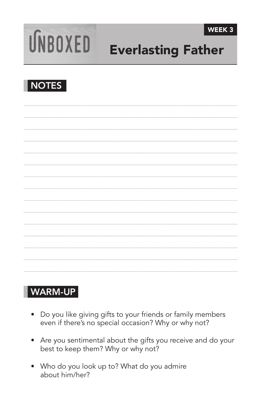

# UNBOXED Everlasting Father



## WARM-UP

- Do you like giving gifts to your friends or family members even if there's no special occasion? Why or why not?
- Are you sentimental about the gifts you receive and do your best to keep them? Why or why not?
- Who do you look up to? What do you admire about him/her?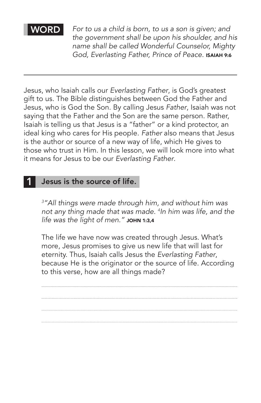WORD *For to us a child is born, to us a son is given; and the government shall be upon his shoulder, and his name shall be called Wonderful Counselor, Mighty God, Everlasting Father, Prince of Peace. ^*ISAIAH 9:6

Jesus, who Isaiah calls our *Everlasting Father*, is God's greatest gift to us. The Bible distinguishes between God the Father and Jesus, who is God the Son. By calling Jesus *Father*, Isaiah was not saying that the Father and the Son are the same person. Rather, Isaiah is telling us that Jesus is a "father" or a kind protector, an ideal king who cares for His people. *Father* also means that Jesus is the author or source of a new way of life, which He gives to those who trust in Him. In this lesson, we will look more into what it means for Jesus to be our *Everlasting Father*.

#### Jesus is the source of life.

*3 "All things were made through him, and without him was not any thing made that was made. <sup>4</sup> In him was life, and the life was the light of men."* JOHN 1:3,4

The life we have now was created through Jesus. What's more, Jesus promises to give us new life that will last for eternity. Thus, Isaiah calls Jesus the *Everlasting Father*, because He is the originator or the source of life. According to this verse, how are all things made?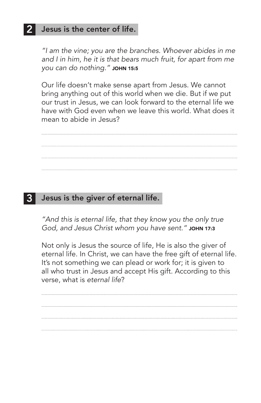#### Jesus is the center of life.

*"I am the vine; you are the branches. Whoever abides in me and I in him, he it is that bears much fruit, for apart from me you can do nothing." ^*JOHN 15:5

Our life doesn't make sense apart from Jesus. We cannot bring anything out of this world when we die. But if we put our trust in Jesus, we can look forward to the eternal life we have with God even when we leave this world. What does it mean to abide in Jesus?

#### 3 Jesus is the giver of eternal life.

*"And this is eternal life, that they know you the only true*  God, and Jesus Christ whom you have sent." JOHN 17:3

Not only is Jesus the source of life, He is also the giver of eternal life. In Christ, we can have the free gift of eternal life. It's not something we can plead or work for; it is given to all who trust in Jesus and accept His gift. According to this verse, what is *eternal life*?